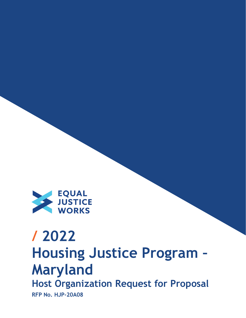

# **/ 2022 Housing Justice Program – Maryland Host Organization Request for Proposal RFP No. HJP-20A08**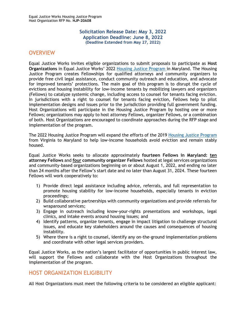#### **Solicitation Release Date: May 3, 2022 Application Deadline: June 8, 2022 (Deadline Extended from May 27, 2022)**

## <span id="page-1-0"></span>**OVERVIEW**

Equal Justice Works invites eligible organizations to submit proposals to participate as **Host Organizations** in Equal Justice Works' 2022 [Housing Justice](https://www.equaljusticeworks.org/news/building-bridges-between-legal-providers-to-disrupt-the-cycle-of-evictions-in-richmond-virginia/) Program in Maryland. The Housing Justice Program creates Fellowships for qualified attorneys and community organizers to provide free civil legal assistance, conduct community outreach and education, and advocate for improved tenants' protections. The main goal of this program is to disrupt the cycle of evictions and housing instability for low-income tenants by mobilizing lawyers and organizers (Fellows) to catalyze systemic change, including access to counsel for tenants facing eviction. In jurisdictions with a right to counsel for tenants facing eviction, Fellows help to pilot implementation designs and issues prior to the jurisdiction providing full government funding. Host Organizations will participate in the Housing Justice Program by hosting one or more Fellows; organizations may apply to host attorney Fellows, organizer Fellows, or a combination of both. Host Organizations are encouraged to coordinate approaches during the RFP stage and implementation of the program.

The 2022 Housing Justice Program will expand the efforts of the 2019 [Housing Justice Program](https://www.equaljusticeworks.org/news/building-bridges-between-legal-providers-to-disrupt-the-cycle-of-evictions-in-richmond-virginia/) from Virginia to Maryland to help low‐income households avoid eviction and remain stably housed.

Equal Justice Works seeks to allocate approximately **fourteen Fellows in Maryland: ten attorney Fellows** and **four community organizer Fellows** hosted at legal services organizations and community-based organizations beginning on or about August 1, 2022, and ending no later than 24 months after the Fellow's start date and no later than August 31, 2024. These fourteen Fellows will work cooperatively to:

- 1) Provide direct legal assistance including advice, referrals, and full representation to promote housing stability for low-income households, especially tenants in eviction proceedings;
- 2) Build collaborative partnerships with community organizations and provide referrals for wraparound services;
- 3) Engage in outreach including know-your-rights presentations and workshops, legal clinics, and intake events around housing issues; and
- 4) Identify patterns, organize tenants, engage in impact litigation to challenge structural issues, and educate key stakeholders around the causes and consequences of housing instability.
- 5) Where there is a right to counsel, identify any on-the-ground implementation problems and coordinate with other legal services providers.

Equal Justice Works, as the nation's largest facilitator of opportunities in public interest law, will support the Fellows and collaborate with the Host Organizations throughout the implementation of the program.

## <span id="page-1-1"></span>HOST ORGANIZATION ELIGIBILITY

All Host Organizations must meet the following criteria to be considered an eligible applicant: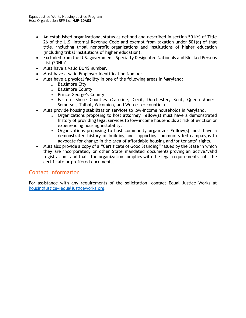- An established organizational status as defined and described in section 501(c) of Title 26 of the U.S. Internal Revenue Code and exempt from taxation under 501(a) of that title, including tribal nonprofit organizations and institutions of higher education (including tribal institutions of higher education).
- Excluded from the U.S. government 'Specialty Designated Nationals and Blocked Persons List (SDNL)'.
- Must have a valid DUNS number.
- Must have a valid Employer Identification Number.
- Must have a physical facility in one of the following areas in Maryland:
	- o Baltimore City
	- o Baltimore County
	- o Prince George's County
	- o Eastern Shore Counties (Caroline, Cecil, Dorchester, Kent, Queen Anne's, Somerset, Talbot, Wicomico, and Worcester counties)
- Must provide housing stabilization services to low-income households in Maryland.
	- o Organizations proposing to host **attorney Fellow(s)** must have a demonstrated history of providing legal services to low-income households at risk of eviction or experiencing housing instability.
	- o Organizations proposing to host community **organizer Fellow(s)** must have a demonstrated history of building and supporting community-led campaigns to advocate for change in the area of affordable housing and/or tenants' rights.
- Must also provide a copy of a "Certificate of Good Standing" issued by the State in which they are incorporated, or other State mandated documents proving an active/valid registration and that the organization complies with the legal requirements of the certificate or proffered documents.

## Contact Information

For assistance with any requirements of the solicitation, contact Equal Justice Works at [housingjustice@equaljusticeworks.org.](mailto:housingjustice@equaljusticeworks.org)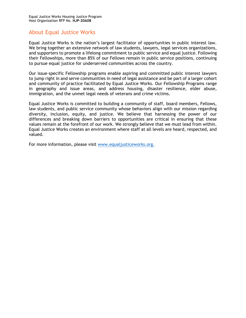## About Equal Justice Works

Equal Justice Works is the nation's largest facilitator of opportunities in public interest law. We bring together an extensive network of law students, lawyers, legal services organizations, and supporters to promote a lifelong commitment to public service and equal justice. Following their Fellowships, more than 85% of our Fellows remain in public service positions, continuing to pursue equal justice for underserved communities across the country.

Our issue-specific Fellowship programs enable aspiring and committed public interest lawyers to jump right in and serve communities in need of legal assistance and be part of a larger cohort and community of practice facilitated by Equal Justice Works. Our Fellowship Programs range in geography and issue areas, and address housing, disaster resilience, elder abuse, immigration, and the unmet legal needs of veterans and crime victims.

Equal Justice Works is committed to building a community of staff, board members, Fellows, law students, and public service community whose behaviors align with our mission regarding diversity, inclusion, equity, and justice. We believe that harnessing the power of our differences and breaking down barriers to opportunities are critical in ensuring that these values remain at the forefront of our work. We strongly believe that we must lead from within. Equal Justice Works creates an environment where staff at all levels are heard, respected, and valued.

For more information, please visit [www.equaljusticeworks.org.](http://www.equaljusticeworks.org/)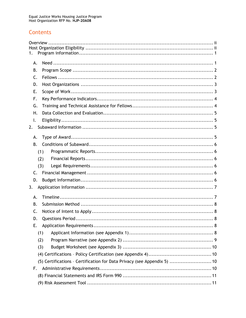## Contents

| 1.             |                                                                          |
|----------------|--------------------------------------------------------------------------|
| А.             |                                                                          |
| В.             |                                                                          |
| C.             |                                                                          |
| D.             |                                                                          |
| Ε.             |                                                                          |
| F.             |                                                                          |
| G.             |                                                                          |
| Η.             |                                                                          |
| Ι.             |                                                                          |
| 2.             |                                                                          |
| А.             |                                                                          |
| B.             |                                                                          |
|                | (1)                                                                      |
|                | (2)                                                                      |
|                | (3)                                                                      |
| $\mathsf{C}$ . |                                                                          |
| D.             |                                                                          |
| 3.             |                                                                          |
| А.             |                                                                          |
| В.             |                                                                          |
| C.             |                                                                          |
| D.             |                                                                          |
| Е.             |                                                                          |
|                | (1)                                                                      |
|                | (2)                                                                      |
|                | (3)                                                                      |
|                |                                                                          |
|                | (5) Certifications - Certification for Data Privacy (see Appendix 5)  10 |
| F.             |                                                                          |
|                |                                                                          |
|                |                                                                          |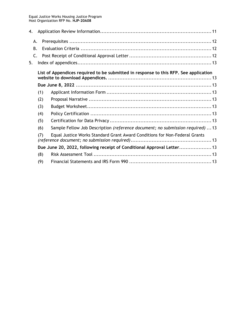| 4.                                                                                   |     |                                                                                |  |  |  |  |
|--------------------------------------------------------------------------------------|-----|--------------------------------------------------------------------------------|--|--|--|--|
|                                                                                      | А.  |                                                                                |  |  |  |  |
|                                                                                      | В.  |                                                                                |  |  |  |  |
|                                                                                      | C.  |                                                                                |  |  |  |  |
| 5.                                                                                   |     |                                                                                |  |  |  |  |
| List of Appendices required to be submitted in response to this RFP. See application |     |                                                                                |  |  |  |  |
|                                                                                      |     |                                                                                |  |  |  |  |
|                                                                                      | (1) |                                                                                |  |  |  |  |
|                                                                                      | (2) |                                                                                |  |  |  |  |
|                                                                                      | (3) |                                                                                |  |  |  |  |
|                                                                                      |     | (4)                                                                            |  |  |  |  |
|                                                                                      | (5) |                                                                                |  |  |  |  |
|                                                                                      | (6) | Sample Fellow Job Description (reference document; no submission required)  13 |  |  |  |  |
|                                                                                      | (7) | Equal Justice Works Standard Grant Award Conditions for Non-Federal Grants     |  |  |  |  |
|                                                                                      |     | Due June 20, 2022, following receipt of Conditional Approval Letter 13         |  |  |  |  |
| (8)                                                                                  |     |                                                                                |  |  |  |  |
|                                                                                      |     | (9)                                                                            |  |  |  |  |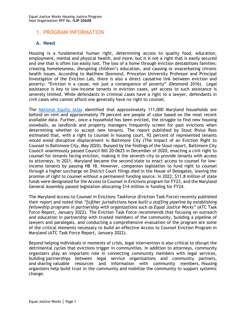## <span id="page-6-0"></span>1. PROGRAM INFORMATION

#### <span id="page-6-1"></span>**A. Need**

Housing is a fundamental human right, determining access to quality food, education, employment, mental and physical health, and more; but it is not a right that is easily secured and one that is often too easily lost. The loss of a home through eviction destabilizes families: creating homelessness, disrupting children's education, and causing or exacerbating chronic health issues. According to Matthew Desmond, Princeton University Professor and Principal Investigator of the Eviction Lab, there is also a direct causative link between eviction and poverty: "Eviction is a cause, not just a consequence of poverty" (Desmond 2016). Legal assistance is key to low-income tenants in eviction cases, yet access to such assistance is severely limited. While defendants in criminal cases have a right to a lawyer, defendants in civil cases who cannot afford one generally have no right to counsel.

The [National Equity Atlas](https://nationalequityatlas.org/rent-debt) identified that approximately 111,000 Maryland households are behind on rent and approximately 79 percent are people of color based on the most recent available data. Further, once a household has been evicted, the struggle to find new housing snowballs, as landlords and property managers frequently screen for past evictions when determining whether to accept new tenants. The report published by Stout Risius Ross estimated that, with a right to counsel in housing court, 92 percent of represented tenants would avoid disruptive displacement in Baltimore City (The Impact of an Eviction Right to Counsel in Baltimore City, May 2020). Buoyed by the findings of the Stout report, Baltimore City Council unanimously passed Council Bill 20-0625 in December of 2020, enacting a civil right to counsel for tenants facing eviction, making it the seventh city to provide tenants with access to attorneys. In 2021, Maryland became the second state to enact access to counsel for lowincome tenants by passing HB 18. However, companion legislation to fund right to counsel through a higher surcharge on District Court filings died in the House of Delegates, leaving the promise of right to counsel without a permanent funding source. In 2022, \$11.8 million of state funds were designated for the Access to Counsel in Evictions program for FY23, and the Maryland General Assembly passed legislation allocating \$14 million in funding for FY24.

The Maryland Access to Counsel in Evictions Taskforce (Eviction Task Force) recently published their report and noted that *"[o]ther jurisdictions have built a staffing pipeline by establishing fellowship programs in partnership with organizations such as Equal Justice Works"* (ATC Task Force Report, January 2022). The Eviction Task Force recommends that focusing on outreach and education in partnership with trusted members of the community, building a pipeline of lawyers and paralegals, and conducting a comprehensive evaluation of the program are some of the critical elements necessary to build an effective Access to Counsel Eviction Program in Maryland (ATC Task Force Report, January 2022).

Beyond helping individuals in moments of crisis, legal intervention is also critical to disrupt the detrimental cycles that evictions trigger in communities. In addition to attorneys, community organizers play an important role in connecting community members with legal services, building partnerships between legal service organizations and community partners, and sharing valuable resources and information with community members. Housing organizers help build trust in the community and mobilize the community to support systemic change.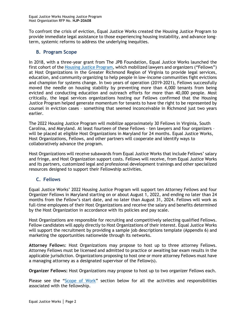To confront the crisis of eviction, Equal Justice Works created the Housing Justice Program to provide immediate legal assistance to those experiencing housing instability, and advance longterm, systemic reforms to address the underlying inequities.

### <span id="page-7-0"></span>**B. Program Scope**

In 2018, with a three-year grant from The JPB Foundation, Equal Justice Works launched the first cohort of the [Housing Justice Program](https://www.equaljusticeworks.org/news/building-bridges-between-legal-providers-to-disrupt-the-cycle-of-evictions-in-richmond-virginia/), which mobilized lawyers and organizers ("Fellows") at Host Organizations in the Greater Richmond Region of Virginia to provide legal services, education, and community organizing to help people in low-income communities fight evictions and champion for systems change. In two years of operation (2019-2021), Fellows successfully moved the needle on housing stability by preventing more than 4,000 tenants from being evicted and conducting education and outreach efforts for more than 40,000 people. Most critically, the legal services organizations hosting our Fellows confirmed that the Housing Justice Program helped generate momentum for tenants to have the right to be represented by counsel in eviction cases – something that seemed inconceivable in Richmond just two years earlier.

The 2022 Housing Justice Program will mobilize approximately 30 Fellows in Virginia, South Carolina, and Maryland. At least fourteen of these Fellows – ten lawyers and four organizers – will be placed at eligible Host Organizations in Maryland for 24 months. Equal Justice Works, Host Organizations, Fellows, and other partners will cooperate and identify ways to collaboratively advance the program.

Host Organizations will receive subawards from Equal Justice Works that include Fellows' salary and fringe, and Host Organization support costs. Fellows will receive, from Equal Justice Works and its partners, customized legal and professional development trainings and other specialized resources designed to support their Fellowship activities.

#### <span id="page-7-1"></span>**C. Fellows**

Equal Justice Works' 2022 Housing Justice Program will support ten Attorney Fellows and four Organizer Fellows in Maryland starting on or about August 1, 2022, and ending no later than 24 months from the Fellow's start date, and no later than August 31, 2024. Fellows will work as full-time employees of their Host Organizations and receive the salary and benefits determined by the Host Organization in accordance with its policies and pay scale.

Host Organizations are responsible for recruiting and competitively selecting qualified Fellows. Fellow candidates will apply directly to Host Organizations of their interest. Equal Justice Works will support the recruitment by providing a sample job descriptions template (Appendix 6) and marketing the opportunities nationwide through its networks.

**Attorney Fellow**s: Host Organizations may propose to host up to three attorney Fellows. Attorney Fellows must be licensed and admitted to practice or awaiting bar exam results in the applicable jurisdiction. Organizations proposing to host one or more attorney Fellows must have a managing attorney as a designated supervisor of the Fellow(s).

**Organizer Fellows:** Host Organizations may propose to host up to two organizer Fellows each.

Please see the "[Scope of Work](#page-8-1)" section below for all the activities and responsibilities associated with the fellowship.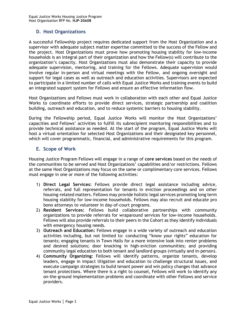#### <span id="page-8-0"></span>**D. Host Organizations**

A successful Fellowship project requires dedicated support from the Host Organization and a supervisor with adequate subject matter expertise committed to the success of the Fellow and the project. Host Organizations must prove how promoting housing stability for low-income households is an integral part of their organization and how the Fellow(s) will contribute to the organization's capacity. Host Organizations must also demonstrate their capacity to provide adequate supervision, mentoring, and training for the Fellows. Adequate supervision would involve regular in-person and virtual meetings with the Fellow, and ongoing oversight and support for legal cases as well as outreach and education activities. Supervisors are expected to participate in a limited number of calls with Equal Justice Works and training events to build an integrated support system for Fellows and ensure an effective information flow.

Host Organizations and Fellows must work in collaboration with each other and Equal Justice Works to coordinate efforts to provide direct services, strategic partnership and coalition building, outreach and education, and to reduce systemic barriers to housing stability.

During the Fellowship period, Equal Justice Works will monitor the Host Organizations' capacities and Fellows' activities to fulfill its subrecipient monitoring responsibilities and to provide technical assistance as needed. At the start of the program, Equal Justice Works will host a virtual orientation for selected Host Organizations and their designated key personnel, which will cover programmatic, financial, and administrative requirements for this program.

#### <span id="page-8-1"></span>**E. Scope of Work**

Housing Justice Program Fellows will engage in a range of **core services** based on the needs of the communities to be served and Host Organizations' capabilities and/or restrictions. Fellows at the same Host Organizations may focus on the same or complimentary core services. Fellows must engage in one or more of the following activities:

- 1) **Direct Legal Services:** Fellows provide direct legal assistance including advice, referrals, and full representation for tenants in eviction proceedings and on other housing-related matters. Fellows may provide holistic legal services promoting long term housing stability for low-income households. Fellows may also recruit and educate pro bono attorneys to volunteer in day-of-court programs.
- 2) **Resident Services:** Fellows build collaborative partnerships with community organizations to provide referrals for wraparound services for low-income households. Fellows will also provide referrals to their peers in the Cohort as they identify individuals with emergency housing needs.
- 3) **Outreach and Education:** Fellows engage in a wide variety of outreach and education activities including, but not limited to: conducting "know your rights" education for tenants; engaging tenants in Town Halls for a more intensive look into renter problems and desired solutions; door knocking in high-eviction communities; and providing community legal education to both tenant and landlord groups (virtually and in-person).
- 4) **Community Organizing:** Fellows will identify patterns, organize tenants, develop leaders, engage in impact litigation and education to challenge structural issues, and execute campaign strategies to build tenant power and win policy changes that advance tenant protections. Where there is a right to counsel, Fellows will work to identify any on-the-ground implementation problems and coordinate with other Fellows and service providers.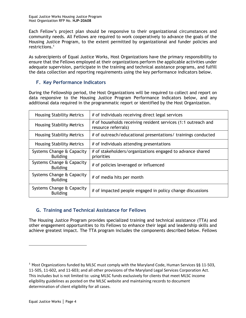Each Fellow's project plan should be responsive to their organizational circumstances and community needs. All Fellows are required to work cooperatively to advance the goals of the Housing Justice Program, to the extent permitted by organizational and funder policies and restrictions. 1

As subrecipients of Equal Justice Works, Host Organizations have the primary responsibility to ensure that the Fellows employed at their organizations perform the applicable activities under adequate supervision, participate in the training and technical assistance programs, and fulfill the data collection and reporting requirements using the key performance indicators below.

## <span id="page-9-0"></span>**F. Key Performance Indicators**

During the Fellowship period, the Host Organizations will be required to collect and report on data responsive to the Housing Justice Program Performance Indicators below, and any additional data required in the programmatic report or identified by the Host Organization.

| <b>Housing Stability Metrics</b>             | # of individuals receiving direct legal services                                     |  |
|----------------------------------------------|--------------------------------------------------------------------------------------|--|
| <b>Housing Stability Metrics</b>             | # of households receiving resident services (1:1 outreach and<br>resource referrals) |  |
| <b>Housing Stability Metrics</b>             | # of outreach/educational presentations/ trainings conducted                         |  |
| <b>Housing Stability Metrics</b>             | # of individuals attending presentations                                             |  |
| Systems Change & Capacity<br><b>Building</b> | # of stakeholders/organizations engaged to advance shared<br>priorities              |  |
| Systems Change & Capacity<br><b>Building</b> | # of policies leveraged or influenced                                                |  |
| Systems Change & Capacity<br><b>Building</b> | # of media hits per month                                                            |  |
| Systems Change & Capacity<br><b>Building</b> | # of impacted people engaged in policy change discussions                            |  |

## <span id="page-9-1"></span>**G. Training and Technical Assistance for Fellows**

The Housing Justice Program provides specialized training and technical assistance (TTA) and other engagement opportunities to its Fellows to enhance their legal and leadership skills and achieve greatest impact. The TTA program includes the components described below. Fellows

<sup>1</sup> Host Organizations funded by MLSC must comply with the Maryland Code, Human Services §§ 11‐503, 11‐505, 11‐602, and 11‐603; and all other provisions of the Maryland Legal Services Corporation Act. This includes but is not limited to: using MLSC funds exclusively for clients that meet MLSC income eligibility guidelines as posted on the MLSC website and maintaining records to document determination of client eligibility for all cases.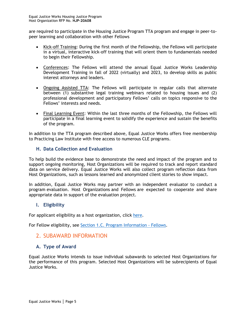are required to participate in the Housing Justice Program TTA program and engage in peer-topeer learning and collaboration with other Fellows

- Kick-off Training: During the first month of the Fellowship, the Fellows will participate in a virtual, interactive kick-off training that will orient them to fundamentals needed to begin their Fellowship.
- Conferences: The Fellows will attend the annual Equal Justice Works Leadership Development Training in fall of 2022 (virtually) and 2023, to develop skills as public interest attorneys and leaders.
- Ongoing Assisted TTA: The Fellows will participate in regular calls that alternate between (1) substantive legal training webinars related to housing issues and (2) professional development and participatory Fellows' calls on topics responsive to the Fellows' interests and needs.
- Final Learning Event: Within the last three months of the Fellowship, the Fellows will participate in a final learning event to solidify the experience and sustain the benefits of the program.

In addition to the TTA program described above, Equal Justice Works offers free membership to Practicing Law Institute with free access to numerous CLE programs.

#### <span id="page-10-0"></span>**H. Data Collection and Evaluation**

To help build the evidence base to demonstrate the need and impact of the program and to support ongoing monitoring, Host Organizations will be required to track and report standard data on service delivery. Equal Justice Works will also collect program reflection data from Host Organizations, such as lessons learned and anonymized client stories to show impact.

In addition, Equal Justice Works may partner with an independent evaluator to conduct a program evaluation. Host Organizations and Fellows are expected to cooperate and share appropriate data in support of the evaluation project.

#### <span id="page-10-1"></span>**I. Eligibility**

For applicant eligibility as a host organization, click [here.](#page-1-1)

For Fellow eligibility, see [Section 1.C. Program Information -](#page-7-1) Fellows.

## <span id="page-10-2"></span>2. SUBAWARD INFORMATION

## <span id="page-10-3"></span>**A. Type of Award**

Equal Justice Works intends to issue individual subawards to selected Host Organizations for the performance of this program. Selected Host Organizations will be subrecipients of Equal Justice Works.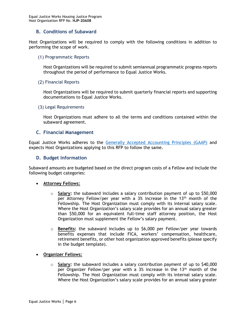#### <span id="page-11-0"></span>**B. Conditions of Subaward**

Host Organizations will be required to comply with the following conditions in addition to performing the scope of work.

<span id="page-11-1"></span>(1) Programmatic Reports

Host Organizations will be required to submit semiannual programmatic progress reports throughout the period of performance to Equal Justice Works.

<span id="page-11-2"></span>(2) Financial Reports

Host Organizations will be required to submit quarterly financial reports and supporting documentations to Equal Justice Works.

#### <span id="page-11-3"></span>(3) Legal Requirements

Host Organizations must adhere to all the terms and conditions contained within the subaward agreement.

#### <span id="page-11-4"></span>**C. Financial Management**

Equal Justice Works adheres to the [Generally Accepted Accounting Principles](https://files.fasab.gov/pdffiles/2020_fasab_handbook.pdf) (GAAP) and expects Host Organizations applying to this RFP to follow the same.

#### <span id="page-11-5"></span>**D. Budget Information**

Subaward amounts are budgeted based on the direct program costs of a Fellow and include the following budget categories:

#### • **Attorney Fellows:**

- o **Salary:** the subaward includes a salary contribution payment of up to \$50,000 per Attorney Fellow/per year with a 3% increase in the  $13<sup>th</sup>$  month of the Fellowship. The Host Organization must comply with its internal salary scale. Where the Host Organization's salary scale provides for an annual salary greater than \$50,000 for an equivalent full-time staff attorney position, the Host Organization must supplement the Fellow's salary payment.
- o **Benefits:** the subaward includes up to \$6,000 per Fellow/per year towards benefits expenses that include FICA, workers' compensation, healthcare, retirement benefits, or other host organization approved benefits (please specify in the budget template).
- **Organizer Fellows:**
	- o **Salary:** the subaward includes a salary contribution payment of up to \$40,000 per Organizer Fellow/per year with a 3% increase in the 13<sup>th</sup> month of the Fellowship. The Host Organization must comply with its internal salary scale. Where the Host Organization's salary scale provides for an annual salary greater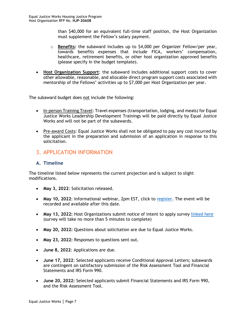than \$40,000 for an equivalent full-time staff position, the Host Organization must supplement the Fellow's salary payment.

- o **Benefits:** the subaward includes up to \$4,000 per Organizer Fellow/per year, towards benefits expenses that include FICA, workers' compensation, healthcare, retirement benefits, or other host organization approved benefits (please specify in the budget template).
- **Host Organization Support**: the subaward includes additional support costs to cover other allowable, reasonable, and allocable direct program support costs associated with mentorship of the Fellows' activities up to \$7,000 per Host Organization per year.

The subaward budget does not include the following:

- In-person Training Travel: Travel expenses (transportation, lodging, and meals) for Equal Justice Works Leadership Development Trainings will be paid directly by Equal Justice Works and will not be part of the subawards.
- Pre-award Costs: Equal Justice Works shall not be obligated to pay any cost incurred by the applicant in the preparation and submission of an application in response to this solicitation.

## <span id="page-12-0"></span>3. APPLICATION INFORMATION

#### <span id="page-12-1"></span>**A. Timeline**

The timeline listed below represents the current projection and is subject to slight modifications.

- **May 3, 2022**: Solicitation released.
- **May 10, 2022**: Informational webinar, 2pm EST, click to [register.](https://us02web.zoom.us/webinar/register/WN_1YkQ01ZYRmavmvBLrKD1yg) The event will be recorded and available after this date.
- **May 13, 2022:** Host Organizations submit notice of intent to apply survey [linked here](https://www.surveymonkey.com/r/J268W95) (survey will take no more than 5 minutes to complete)
- **May 20, 2022:** Questions about solicitation are due to Equal Justice Works.
- **May 23, 2022:** Responses to questions sent out.
- **June 8, 2022**: Applications are due.
- **June 17, 2022**: Selected applicants receive Conditional Approval Letters; subawards are contingent on satisfactory submission of the Risk Assessment Tool and Financial Statements and IRS Form 990.
- **June 20, 2022:** Selected applicants submit Financial Statements and IRS Form 990, and the Risk Assessment Tool.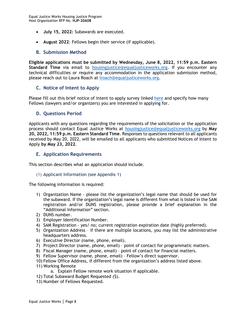- **July 15, 2022:** Subawards are executed.
- **August 2022**: Fellows begin their service (if applicable).

#### <span id="page-13-0"></span>**B. Submission Method**

**Eligible applications must be submitted by Wednesday, June 8, 2022, 11:59 p.m. Eastern Standard Time** via email to [housingjustice@equaljusticeworks.org.](mailto:housingjustice@equaljusticeworks.org) If you encounter any technical difficulties or require any accommodation in the application submission method, please reach out to Laura Roach at [lroach@equaljusticeworks.org.](mailto:lroach@equaljusticeworks.org)

#### <span id="page-13-1"></span>**C. Notice of Intent to Apply**

Please fill out this brief notice of intent to apply survey linked [here](https://www.surveymonkey.com/r/J268W95) and specify how many Fellows (lawyers and/or organizers) you are interested in applying for.

#### <span id="page-13-2"></span>**D. Questions Period**

Applicants with any questions regarding the requirements of the solicitation or the application process should contact Equal Justice Works at [housingjustice@equaljusticeworks.org](mailto:housingjustice@equaljusticeworks.org) by **May 20, 2022, 11:59 p.m. Eastern Standard Time**. Responses to questions relevant to all applicants received by May 20, 2022, will be emailed to all applicants who submitted Notices of Intent to Apply **by May 23, 2022**.

#### <span id="page-13-3"></span>**E. Application Requirements**

This section describes what an application should include.

#### <span id="page-13-4"></span>(1) Applicant Information (see Appendix 1)

The following information is required:

- 1) Organization Name please list the organization's legal name that should be used for the subaward. If the organization's legal name is different from what is listed in the SAM registration and/or DUNS registration, please provide a brief explanation in the "Additional Information" section.
- 2) DUNS number.
- 3) Employer Identification Number.
- 4) SAM Registration yes/ no; current registration expiration date (highly preferred).
- 5) Organization Address if there are multiple locations, you may list the administrative headquarters address.
- 6) Executive Director (name, phone, email).
- 7) Project Director (name, phone, email) point of contact for programmatic matters.
- 8) Fiscal Manager (name, phone, email) point of contact for financial matters.
- 9) Fellow Supervisor (name, phone, email) Fellow's direct supervisor.
- 10) Fellow Office Address, if different from the organization's address listed above.
- 11) Working Remote
	- a. Explain Fellow remote work situation if applicable.
- 12) Total Subaward Budget Requested (\$).
- 13) Number of Fellows Requested.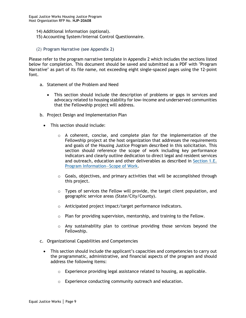- 14) Additional Information (optional).
- 15) Accounting System/Internal Control Questionnaire.
- <span id="page-14-0"></span>(2) Program Narrative (see Appendix 2)

Please refer to the program narrative template in Appendix 2 which includes the sections listed below for completion. This document should be saved and submitted as a PDF with "Program Narrative" as part of its file name, not exceeding eight single-spaced pages using the 12-point font.

- a. Statement of the Problem and Need
	- This section should include the description of problems or gaps in services and advocacy related to housing stability for low-income and underserved communities that the Fellowship project will address.
- b. Project Design and Implementation Plan
	- This section should include:
		- $\circ$  A coherent, concise, and complete plan for the implementation of the Fellowship project at the host organization that addresses the requirements and goals of the Housing Justice Program described in this solicitation. This section should reference the scope of work including key performance indicators and clearly outline dedication to direct legal and resident services and outreach, education and other deliverables as described in [Section 1.E.](#page-8-1)  [Program Information](#page-8-1)—Scope of Work.
		- $\circ$  Goals, objectives, and primary activities that will be accomplished through this project.
		- $\circ$  Types of services the Fellow will provide, the target client population, and geographic service areas (State/City/County).
		- o Anticipated project impact/target performance indicators.
		- o Plan for providing supervision, mentorship, and training to the Fellow.
		- $\circ$  Any sustainability plan to continue providing those services beyond the Fellowship.
- c. Organizational Capabilities and Competencies
	- This section should include the applicant's capacities and competencies to carry out the programmatic, administrative, and financial aspects of the program and should address the following items:
		- o Experience providing legal assistance related to housing, as applicable.
		- o Experience conducting community outreach and education.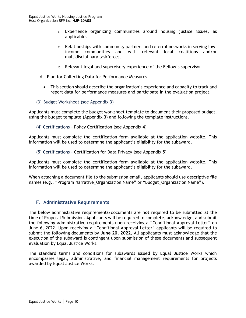- $\circ$  Experience organizing communities around housing justice issues, as applicable.
- $\circ$  Relationships with community partners and referral networks in serving lowincome communities and with relevant local coalitions and/or multidisciplinary taskforces.
- o Relevant legal and supervisory experience of the Fellow's supervisor.
- d. Plan for Collecting Data for Performance Measures
	- This section should describe the organization's experience and capacity to track and report data for performance measures and participate in the evaluation project.
- <span id="page-15-0"></span>(3) Budget Worksheet (see Appendix 3)

Applicants must complete the budget worksheet template to document their proposed budget, using the budget template (Appendix 3) and following the template instructions.

<span id="page-15-1"></span>(4) Certifications – Policy Certification (see Appendix 4)

Applicants must complete the certification form available at the application website. This information will be used to determine the applicant's eligibility for the subaward.

<span id="page-15-2"></span>(5) Certifications – Certification for Data Privacy (see Appendix 5)

Applicants must complete the certification form available at the application website. This information will be used to determine the applicant's eligibility for the subaward.

When attaching a document file to the submission email, applicants should use descriptive file names (e.g., "Program Narrative\_Organization Name" or "Budget\_Organization Name").

#### <span id="page-15-3"></span>**F. Administrative Requirements**

The below administrative requirements/documents are **not** required to be submitted at the time of Proposal Submission. Applicants will be required to complete, acknowledge, and submit the following administrative requirements upon receiving a "Conditional Approval Letter" on June 6, 2022. Upon receiving a "Conditional Approval Letter" applicants will be required to submit the following documents by **June 20, 2022.** All applicants must acknowledge that the execution of the subaward is contingent upon submission of these documents and subsequent evaluation by Equal Justice Works.

The standard terms and conditions for subawards issued by Equal Justice Works which encompasses legal, administrative, and financial management requirements for projects awarded by Equal Justice Works.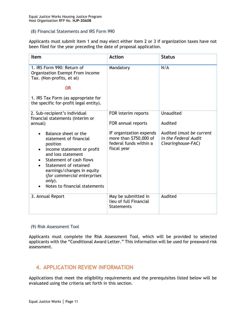#### <span id="page-16-0"></span>(8) Financial Statements and IRS Form 990

Applicants must submit item 1 and may elect either item 2 or 3 if organization taxes have not been filed for the year preceding the date of proposal application.

| <b>Item</b>                                                                                                                                                                                                                                                                | <b>Action</b>                                                                              | <b>Status</b>                                                          |
|----------------------------------------------------------------------------------------------------------------------------------------------------------------------------------------------------------------------------------------------------------------------------|--------------------------------------------------------------------------------------------|------------------------------------------------------------------------|
| 1. IRS Form 990: Return of<br>Organization Exempt From Income<br>Tax. (Non-profits, et al)                                                                                                                                                                                 | Mandatory                                                                                  | N/A                                                                    |
| <b>OR</b><br>1. IRS Tax Form (as appropriate for<br>the specific for-profit legal entity).                                                                                                                                                                                 |                                                                                            |                                                                        |
| 2. Sub-recipient's individual<br>financial statements (interim or<br>annual)                                                                                                                                                                                               | FOR interim reports<br>FOR annual reports                                                  | <b>Unaudited</b><br>Audited                                            |
| Balance sheet or the<br>statement of financial<br>position<br>Income statement or profit<br>and loss statement<br>Statement of cash flows<br>Statement of retained<br>earnings/changes in equity<br>(for commercial enterprises<br>only).<br>Notes to financial statements | IF organization expends<br>more than \$750,000 of<br>federal funds within a<br>fiscal year | Audited (must be current<br>in the Federal Audit<br>Clearinghouse-FAC) |
| 3. Annual Report                                                                                                                                                                                                                                                           | May be submitted in<br>lieu of full Financial<br><b>Statements</b>                         | Audited                                                                |

#### <span id="page-16-1"></span>(9) Risk Assessment Tool

Applicants must complete the Risk Assessment Tool, which will be provided to selected applicants with the "Conditional Award Letter." This information will be used for preaward risk assessment.

## <span id="page-16-2"></span>4. APPLICATION REVIEW INFORMATION

Applications that meet the eligibility requirements and the prerequisites listed below will be evaluated using the criteria set forth in this section.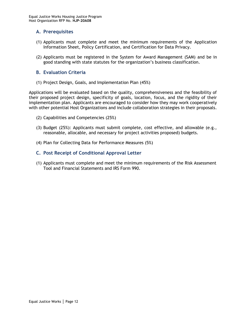### <span id="page-17-0"></span>**A. Prerequisites**

- (1) Applicants must complete and meet the minimum requirements of the Application Information Sheet, Policy Certification, and Certification for Data Privacy.
- (2) Applicants must be registered in the System for Award Management (SAM) and be in good standing with state statutes for the organization's business classification.

#### <span id="page-17-1"></span>**B. Evaluation Criteria**

(1) Project Design, Goals, and Implementation Plan (45%)

Applications will be evaluated based on the quality, comprehensiveness and the feasibility of their proposed project design, specificity of goals, location, focus, and the rigidity of their implementation plan. Applicants are encouraged to consider how they may work cooperatively with other potential Host Organizations and include collaboration strategies in their proposals.

- (2) Capabilities and Competencies (25%)
- (3) Budget (25%): Applicants must submit complete, cost effective, and allowable (e.g., reasonable, allocable, and necessary for project activities proposed) budgets.
- (4) Plan for Collecting Data for Performance Measures (5%)

#### <span id="page-17-2"></span>**C. Post Receipt of Conditional Approval Letter**

(1) Applicants must complete and meet the minimum requirements of the Risk Assessment Tool and Financial Statements and IRS Form 990.